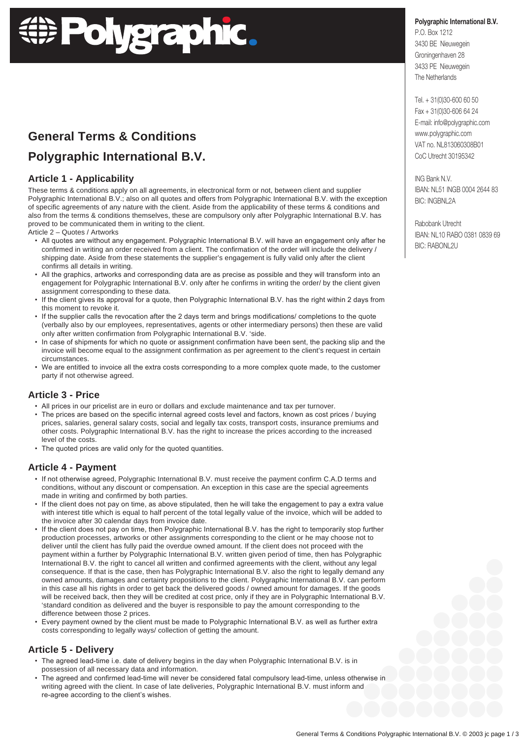# **Polygraphic.**

# **General Terms & Conditions Polygraphic International B.V.**

### **Article 1 - Applicability**

These terms & conditions apply on all agreements, in electronical form or not, between client and supplier Polygraphic International B.V.; also on all quotes and offers from Polygraphic International B.V. with the exception of specific agreements of any nature with the client. Aside from the applicability of these terms & conditions and also from the terms & conditions themselves, these are compulsory only after Polygraphic International B.V. has proved to be communicated them in writing to the client.

Article 2 – Quotes / Artworks

- All quotes are without any engagement. Polygraphic International B.V. will have an engagement only after he confirmed in writing an order received from a client. The confirmation of the order will include the delivery / shipping date. Aside from these statements the supplier's engagement is fully valid only after the client confirms all details in writing.
- All the graphics, artworks and corresponding data are as precise as possible and they will transform into an engagement for Polygraphic International B.V. only after he confirms in writing the order/ by the client given assignment corresponding to these data.
- If the client gives its approval for a quote, then Polygraphic International B.V. has the right within 2 days from this moment to revoke it.
- If the supplier calls the revocation after the 2 days term and brings modifications/ completions to the quote (verbally also by our employees, representatives, agents or other intermediary persons) then these are valid only after written confirmation from Polygraphic International B.V. 'side.
- In case of shipments for which no quote or assignment confirmation have been sent, the packing slip and the invoice will become equal to the assignment confirmation as per agreement to the client's request in certain circumstances.
- We are entitled to invoice all the extra costs corresponding to a more complex quote made, to the customer party if not otherwise agreed.

# **Article 3 - Price**

- All prices in our pricelist are in euro or dollars and exclude maintenance and tax per turnover.
- The prices are based on the specific internal agreed costs level and factors, known as cost prices / buying prices, salaries, general salary costs, social and legally tax costs, transport costs, insurance premiums and other costs. Polygraphic International B.V. has the right to increase the prices according to the increased level of the costs.
- The quoted prices are valid only for the quoted quantities.

# **Article 4 - Payment**

- If not otherwise agreed, Polygraphic International B.V. must receive the payment confirm C.A.D terms and conditions, without any discount or compensation. An exception in this case are the special agreements made in writing and confirmed by both parties.
- If the client does not pay on time, as above stipulated, then he will take the engagement to pay a extra value with interest title which is equal to half percent of the total legally value of the invoice, which will be added to the invoice after 30 calendar days from invoice date.
- If the client does not pay on time, then Polygraphic International B.V. has the right to temporarily stop further production processes, artworks or other assignments corresponding to the client or he may choose not to deliver until the client has fully paid the overdue owned amount. If the client does not proceed with the payment within a further by Polygraphic International B.V. written given period of time, then has Polygraphic International B.V. the right to cancel all written and confirmed agreements with the client, without any legal consequence. If that is the case, then has Polygraphic International B.V. also the right to legally demand any owned amounts, damages and certainty propositions to the client. Polygraphic International B.V. can perform in this case all his rights in order to get back the delivered goods / owned amount for damages. If the goods will be received back, then they will be credited at cost price, only if they are in Polygraphic International B.V. 'standard condition as delivered and the buyer is responsible to pay the amount corresponding to the difference between those 2 prices.
- Every payment owned by the client must be made to Polygraphic International B.V. as well as further extra costs corresponding to legally ways/ collection of getting the amount.

#### **Article 5 - Delivery**

- The agreed lead-time i.e. date of delivery begins in the day when Polygraphic International B.V. is in possession of all necessary data and information.
- The agreed and confirmed lead-time will never be considered fatal compulsory lead-time, unless otherwise in writing agreed with the client. In case of late deliveries, Polygraphic International B.V. must inform and re-agree according to the client's wishes.

**Polygraphic International B.V.** P.O. Box 1212 3430 BE Nieuwegein Groningenhaven 28

3433 PE Nieuwegein The Netherlands

Tel. + 31(0)30-600 60 50 Fax + 31(0)30-606 64 24 E-mail: info@polygraphic.com www.polygraphic.com VAT no. NL813060308B01 CoC Utrecht 30195342

ING Bank N.V. IBAN: NL51 INGB 0004 2644 83 BIC: INGBNL2A

Rabobank Utrecht IBAN: NL10 RABO 0381 0839 69 BIC: RABONL2U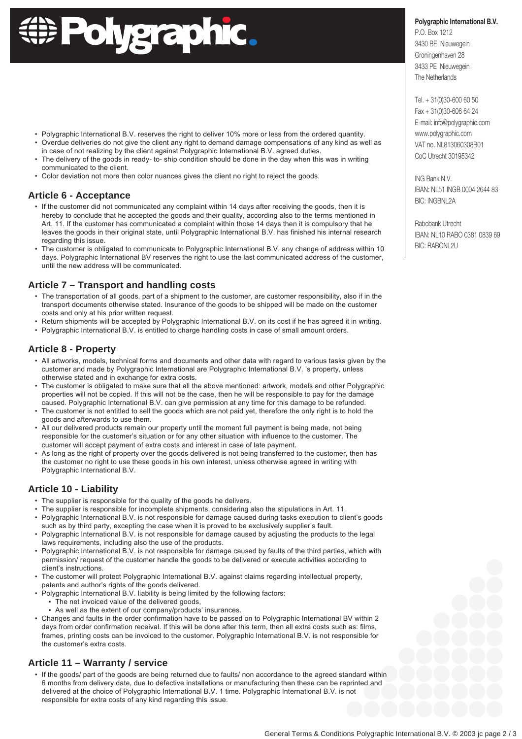# **Polygraphic.**

- Polygraphic International B.V. reserves the right to deliver 10% more or less from the ordered quantity.
- Overdue deliveries do not give the client any right to demand damage compensations of any kind as well as
- in case of not realizing by the client against Polygraphic International B.V. agreed duties. • The delivery of the goods in ready- to- ship condition should be done in the day when this was in writing communicated to the client.
- Color deviation not more then color nuances gives the client no right to reject the goods.

# **Article 6 - Acceptance**

- If the customer did not communicated any complaint within 14 days after receiving the goods, then it is hereby to conclude that he accepted the goods and their quality, according also to the terms mentioned in Art. 11. If the customer has communicated a complaint within those 14 days then it is compulsory that he leaves the goods in their original state, until Polygraphic International B.V. has finished his internal research regarding this issue.
- The customer is obligated to communicate to Polygraphic International B.V. any change of address within 10 days. Polygraphic International BV reserves the right to use the last communicated address of the customer, until the new address will be communicated.

# **Article 7 – Transport and handling costs**

- The transportation of all goods, part of a shipment to the customer, are customer responsibility, also if in the transport documents otherwise stated. Insurance of the goods to be shipped will be made on the customer costs and only at his prior written request.
- Return shipments will be accepted by Polygraphic International B.V. on its cost if he has agreed it in writing.
- Polygraphic International B.V. is entitled to charge handling costs in case of small amount orders.

# **Article 8 - Property**

- All artworks, models, technical forms and documents and other data with regard to various tasks given by the customer and made by Polygraphic International are Polygraphic International B.V. 's property, unless otherwise stated and in exchange for extra costs.
- The customer is obligated to make sure that all the above mentioned: artwork, models and other Polygraphic properties will not be copied. If this will not be the case, then he will be responsible to pay for the damage caused. Polygraphic International B.V. can give permission at any time for this damage to be refunded.
- The customer is not entitled to sell the goods which are not paid yet, therefore the only right is to hold the goods and afterwards to use them.
- All our delivered products remain our property until the moment full payment is being made, not being responsible for the customer's situation or for any other situation with influence to the customer. The customer will accept payment of extra costs and interest in case of late payment.
- As long as the right of property over the goods delivered is not being transferred to the customer, then has the customer no right to use these goods in his own interest, unless otherwise agreed in writing with Polygraphic International B.V.

# **Article 10 - Liability**

- The supplier is responsible for the quality of the goods he delivers.
- The supplier is responsible for incomplete shipments, considering also the stipulations in Art. 11.
- Polygraphic International B.V. is not responsible for damage caused during tasks execution to client's goods such as by third party, excepting the case when it is proved to be exclusively supplier's fault.
- Polygraphic International B.V. is not responsible for damage caused by adjusting the products to the legal laws requirements, including also the use of the products.
- Polygraphic International B.V. is not responsible for damage caused by faults of the third parties, which with permission/ request of the customer handle the goods to be delivered or execute activities according to client's instructions.
- The customer will protect Polygraphic International B.V. against claims regarding intellectual property, patents and author's rights of the goods delivered.
- Polygraphic International B.V. liability is being limited by the following factors:
	- The net invoiced value of the delivered goods,
	- As well as the extent of our company/products' insurances.
- Changes and faults in the order confirmation have to be passed on to Polygraphic International BV within 2 days from order confirmation receival. If this will be done after this term, then all extra costs such as: films, frames, printing costs can be invoiced to the customer. Polygraphic International B.V. is not responsible for the customer's extra costs.

# **Article 11 – Warranty / service**

 • If the goods/ part of the goods are being returned due to faults/ non accordance to the agreed standard within 6 months from delivery date, due to defective installations or manufacturing then these can be reprinted and delivered at the choice of Polygraphic International B.V. 1 time. Polygraphic International B.V. is not responsible for extra costs of any kind regarding this issue.

#### **Polygraphic International B.V.**

P.O. Box 1212 3430 BE Nieuwegein Groningenhaven 28 3433 PE Nieuwegein The Netherlands

Tel. + 31(0)30-600 60 50 Fax + 31(0)30-606 64 24 E-mail: info@polygraphic.com www.polygraphic.com VAT no. NL813060308B01 CoC Utrecht 30195342

ING Bank N.V. IBAN: NL51 INGB 0004 2644 83 BIC: INGBNL2A

Rabobank Utrecht IBAN: NL10 RABO 0381 0839 69 BIC: RABONL2U